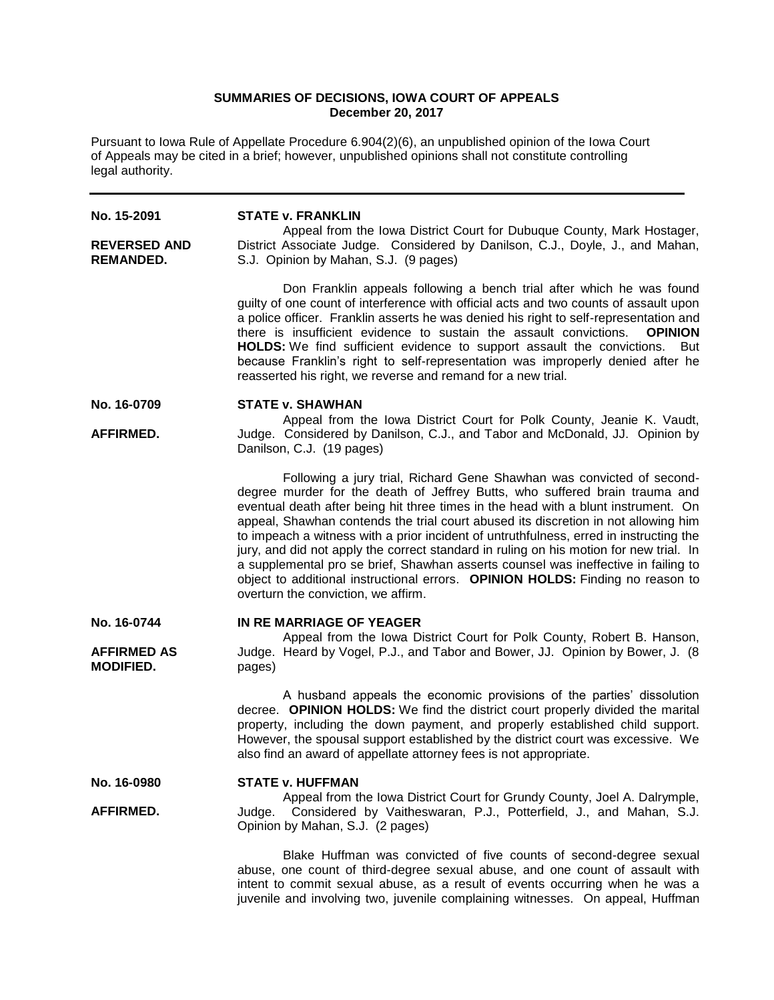# **SUMMARIES OF DECISIONS, IOWA COURT OF APPEALS December 20, 2017**

Pursuant to Iowa Rule of Appellate Procedure 6.904(2)(6), an unpublished opinion of the Iowa Court of Appeals may be cited in a brief; however, unpublished opinions shall not constitute controlling legal authority.

| No. 15-2091                             | <b>STATE v. FRANKLIN</b>                                                                                                                                                                                                                                                                                                                                                                                                                                                                                                                                                                                                                                                                                                            |
|-----------------------------------------|-------------------------------------------------------------------------------------------------------------------------------------------------------------------------------------------------------------------------------------------------------------------------------------------------------------------------------------------------------------------------------------------------------------------------------------------------------------------------------------------------------------------------------------------------------------------------------------------------------------------------------------------------------------------------------------------------------------------------------------|
| <b>REVERSED AND</b><br><b>REMANDED.</b> | Appeal from the Iowa District Court for Dubuque County, Mark Hostager,<br>District Associate Judge. Considered by Danilson, C.J., Doyle, J., and Mahan,<br>S.J. Opinion by Mahan, S.J. (9 pages)                                                                                                                                                                                                                                                                                                                                                                                                                                                                                                                                    |
|                                         | Don Franklin appeals following a bench trial after which he was found<br>guilty of one count of interference with official acts and two counts of assault upon<br>a police officer. Franklin asserts he was denied his right to self-representation and<br>there is insufficient evidence to sustain the assault convictions.<br><b>OPINION</b><br>HOLDS: We find sufficient evidence to support assault the convictions.<br>But<br>because Franklin's right to self-representation was improperly denied after he<br>reasserted his right, we reverse and remand for a new trial.                                                                                                                                                  |
| No. 16-0709                             | <b>STATE v. SHAWHAN</b>                                                                                                                                                                                                                                                                                                                                                                                                                                                                                                                                                                                                                                                                                                             |
| AFFIRMED.                               | Appeal from the Iowa District Court for Polk County, Jeanie K. Vaudt,<br>Judge. Considered by Danilson, C.J., and Tabor and McDonald, JJ. Opinion by<br>Danilson, C.J. (19 pages)                                                                                                                                                                                                                                                                                                                                                                                                                                                                                                                                                   |
|                                         | Following a jury trial, Richard Gene Shawhan was convicted of second-<br>degree murder for the death of Jeffrey Butts, who suffered brain trauma and<br>eventual death after being hit three times in the head with a blunt instrument. On<br>appeal, Shawhan contends the trial court abused its discretion in not allowing him<br>to impeach a witness with a prior incident of untruthfulness, erred in instructing the<br>jury, and did not apply the correct standard in ruling on his motion for new trial. In<br>a supplemental pro se brief, Shawhan asserts counsel was ineffective in failing to<br>object to additional instructional errors. OPINION HOLDS: Finding no reason to<br>overturn the conviction, we affirm. |
| No. 16-0744                             | IN RE MARRIAGE OF YEAGER<br>Appeal from the Iowa District Court for Polk County, Robert B. Hanson,                                                                                                                                                                                                                                                                                                                                                                                                                                                                                                                                                                                                                                  |
| <b>AFFIRMED AS</b><br><b>MODIFIED.</b>  | Judge. Heard by Vogel, P.J., and Tabor and Bower, JJ. Opinion by Bower, J. (8)<br>pages)                                                                                                                                                                                                                                                                                                                                                                                                                                                                                                                                                                                                                                            |
|                                         | A husband appeals the economic provisions of the parties' dissolution<br>decree. OPINION HOLDS: We find the district court properly divided the marital<br>property, including the down payment, and properly established child support.<br>However, the spousal support established by the district court was excessive. We<br>also find an award of appellate attorney fees is not appropriate.                                                                                                                                                                                                                                                                                                                                   |
| No. 16-0980                             | <b>STATE v. HUFFMAN</b>                                                                                                                                                                                                                                                                                                                                                                                                                                                                                                                                                                                                                                                                                                             |
| AFFIRMED.                               | Appeal from the Iowa District Court for Grundy County, Joel A. Dalrymple,<br>Considered by Vaitheswaran, P.J., Potterfield, J., and Mahan, S.J.<br>Judge.<br>Opinion by Mahan, S.J. (2 pages)                                                                                                                                                                                                                                                                                                                                                                                                                                                                                                                                       |
|                                         | Blake Huffman was convicted of five counts of second-degree sexual<br>abuse, one count of third-degree sexual abuse, and one count of assault with<br>intent to commit sexual abuse, as a result of events occurring when he was a                                                                                                                                                                                                                                                                                                                                                                                                                                                                                                  |

juvenile and involving two, juvenile complaining witnesses. On appeal, Huffman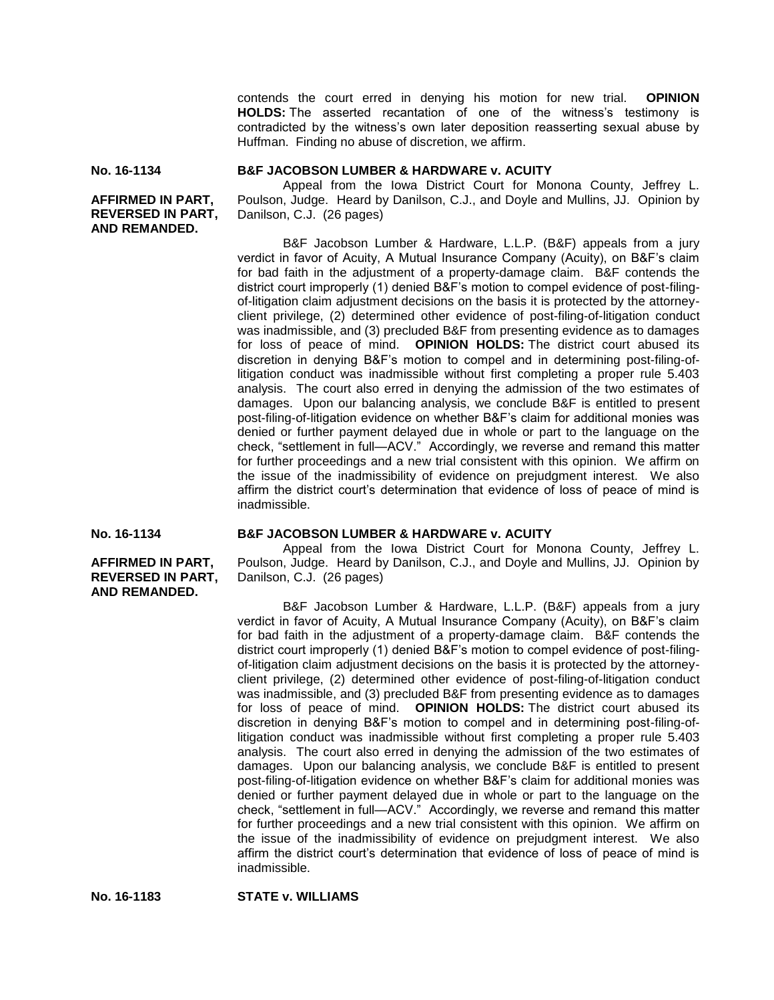contends the court erred in denying his motion for new trial. **OPINION HOLDS:** The asserted recantation of one of the witness's testimony is contradicted by the witness's own later deposition reasserting sexual abuse by Huffman. Finding no abuse of discretion, we affirm.

```
No. 16-1134
```
**B&F JACOBSON LUMBER & HARDWARE v. ACUITY**

**AFFIRMED IN PART, REVERSED IN PART, AND REMANDED.**

Appeal from the Iowa District Court for Monona County, Jeffrey L. Poulson, Judge. Heard by Danilson, C.J., and Doyle and Mullins, JJ. Opinion by Danilson, C.J. (26 pages)

B&F Jacobson Lumber & Hardware, L.L.P. (B&F) appeals from a jury verdict in favor of Acuity, A Mutual Insurance Company (Acuity), on B&F's claim for bad faith in the adjustment of a property-damage claim. B&F contends the district court improperly (1) denied B&F's motion to compel evidence of post-filingof-litigation claim adjustment decisions on the basis it is protected by the attorneyclient privilege, (2) determined other evidence of post-filing-of-litigation conduct was inadmissible, and (3) precluded B&F from presenting evidence as to damages for loss of peace of mind. **OPINION HOLDS:** The district court abused its discretion in denying B&F's motion to compel and in determining post-filing-oflitigation conduct was inadmissible without first completing a proper rule 5.403 analysis. The court also erred in denying the admission of the two estimates of damages. Upon our balancing analysis, we conclude B&F is entitled to present post-filing-of-litigation evidence on whether B&F's claim for additional monies was denied or further payment delayed due in whole or part to the language on the check, "settlement in full—ACV." Accordingly, we reverse and remand this matter for further proceedings and a new trial consistent with this opinion. We affirm on the issue of the inadmissibility of evidence on prejudgment interest. We also affirm the district court's determination that evidence of loss of peace of mind is inadmissible.

**No. 16-1134**

**AFFIRMED IN PART, REVERSED IN PART, AND REMANDED.**

### **B&F JACOBSON LUMBER & HARDWARE v. ACUITY**

Appeal from the Iowa District Court for Monona County, Jeffrey L. Poulson, Judge. Heard by Danilson, C.J., and Doyle and Mullins, JJ. Opinion by Danilson, C.J. (26 pages)

B&F Jacobson Lumber & Hardware, L.L.P. (B&F) appeals from a jury verdict in favor of Acuity, A Mutual Insurance Company (Acuity), on B&F's claim for bad faith in the adjustment of a property-damage claim. B&F contends the district court improperly (1) denied B&F's motion to compel evidence of post-filingof-litigation claim adjustment decisions on the basis it is protected by the attorneyclient privilege, (2) determined other evidence of post-filing-of-litigation conduct was inadmissible, and (3) precluded B&F from presenting evidence as to damages for loss of peace of mind. **OPINION HOLDS:** The district court abused its discretion in denying B&F's motion to compel and in determining post-filing-oflitigation conduct was inadmissible without first completing a proper rule 5.403 analysis. The court also erred in denying the admission of the two estimates of damages. Upon our balancing analysis, we conclude B&F is entitled to present post-filing-of-litigation evidence on whether B&F's claim for additional monies was denied or further payment delayed due in whole or part to the language on the check, "settlement in full—ACV." Accordingly, we reverse and remand this matter for further proceedings and a new trial consistent with this opinion. We affirm on the issue of the inadmissibility of evidence on prejudgment interest. We also affirm the district court's determination that evidence of loss of peace of mind is inadmissible.

**No. 16-1183 STATE v. WILLIAMS**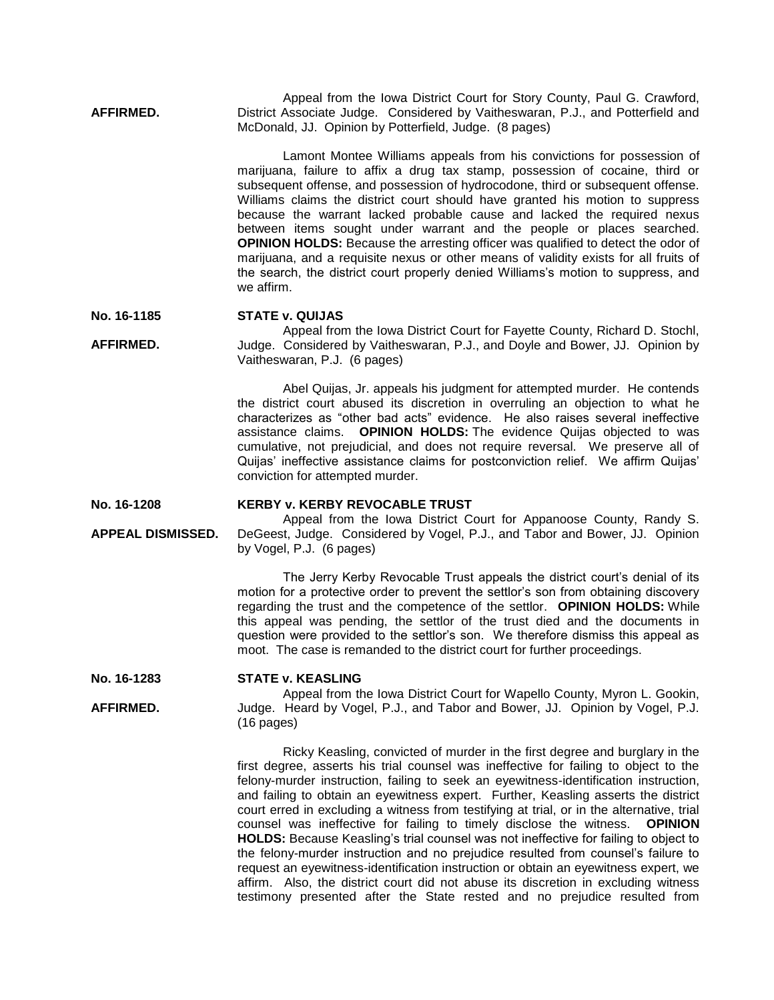**AFFIRMED.** Appeal from the Iowa District Court for Story County, Paul G. Crawford, District Associate Judge. Considered by Vaitheswaran, P.J., and Potterfield and McDonald, JJ. Opinion by Potterfield, Judge. (8 pages)

> Lamont Montee Williams appeals from his convictions for possession of marijuana, failure to affix a drug tax stamp, possession of cocaine, third or subsequent offense, and possession of hydrocodone, third or subsequent offense. Williams claims the district court should have granted his motion to suppress because the warrant lacked probable cause and lacked the required nexus between items sought under warrant and the people or places searched. **OPINION HOLDS:** Because the arresting officer was qualified to detect the odor of marijuana, and a requisite nexus or other means of validity exists for all fruits of the search, the district court properly denied Williams's motion to suppress, and we affirm.

**No. 16-1185 STATE v. QUIJAS**

**AFFIRMED.** Appeal from the Iowa District Court for Fayette County, Richard D. Stochl, Judge. Considered by Vaitheswaran, P.J., and Doyle and Bower, JJ. Opinion by Vaitheswaran, P.J. (6 pages)

> Abel Quijas, Jr. appeals his judgment for attempted murder. He contends the district court abused its discretion in overruling an objection to what he characterizes as "other bad acts" evidence. He also raises several ineffective assistance claims. **OPINION HOLDS:** The evidence Quijas objected to was cumulative, not prejudicial, and does not require reversal. We preserve all of Quijas' ineffective assistance claims for postconviction relief. We affirm Quijas' conviction for attempted murder.

**No. 16-1208**

**AFFIRMED.**

**APPEAL DISMISSED.**

## **KERBY v. KERBY REVOCABLE TRUST**

Appeal from the Iowa District Court for Appanoose County, Randy S. DeGeest, Judge. Considered by Vogel, P.J., and Tabor and Bower, JJ. Opinion by Vogel, P.J. (6 pages)

The Jerry Kerby Revocable Trust appeals the district court's denial of its motion for a protective order to prevent the settlor's son from obtaining discovery regarding the trust and the competence of the settlor. **OPINION HOLDS:** While this appeal was pending, the settlor of the trust died and the documents in question were provided to the settlor's son. We therefore dismiss this appeal as moot. The case is remanded to the district court for further proceedings.

#### **No. 16-1283 STATE v. KEASLING**

Appeal from the Iowa District Court for Wapello County, Myron L. Gookin, Judge. Heard by Vogel, P.J., and Tabor and Bower, JJ. Opinion by Vogel, P.J. (16 pages)

Ricky Keasling, convicted of murder in the first degree and burglary in the first degree, asserts his trial counsel was ineffective for failing to object to the felony-murder instruction, failing to seek an eyewitness-identification instruction, and failing to obtain an eyewitness expert. Further, Keasling asserts the district court erred in excluding a witness from testifying at trial, or in the alternative, trial counsel was ineffective for failing to timely disclose the witness. **OPINION HOLDS:** Because Keasling's trial counsel was not ineffective for failing to object to the felony-murder instruction and no prejudice resulted from counsel's failure to request an eyewitness-identification instruction or obtain an eyewitness expert, we affirm. Also, the district court did not abuse its discretion in excluding witness testimony presented after the State rested and no prejudice resulted from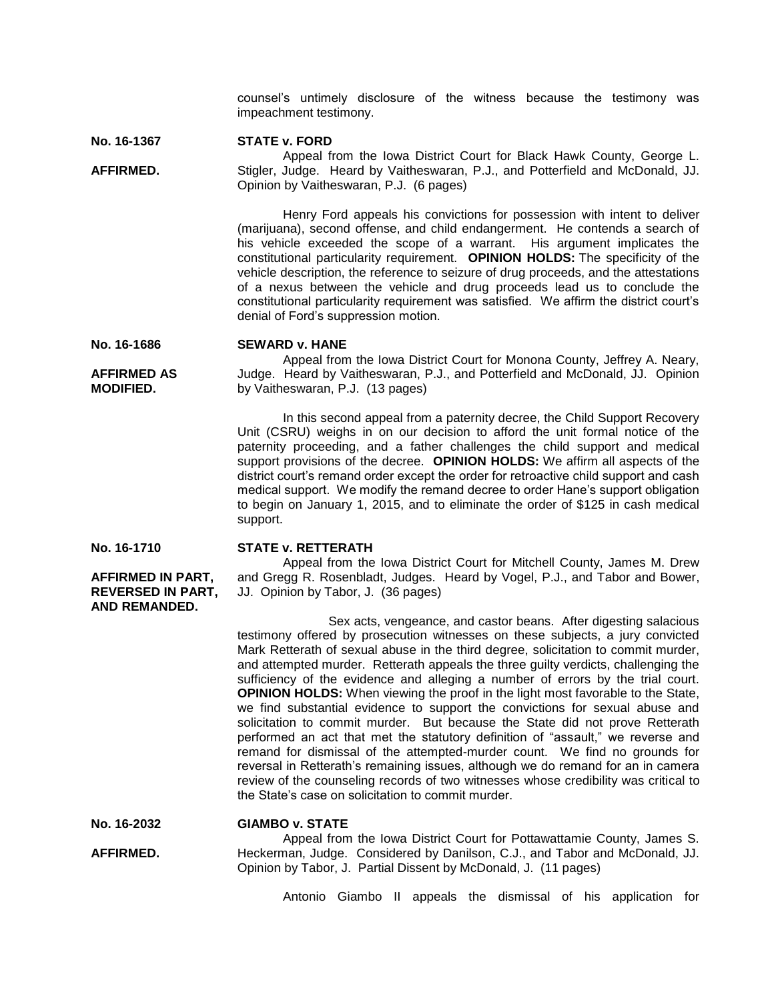counsel's untimely disclosure of the witness because the testimony was impeachment testimony.

#### **No. 16-1367 STATE v. FORD**

**AFFIRMED.** Appeal from the Iowa District Court for Black Hawk County, George L. Stigler, Judge. Heard by Vaitheswaran, P.J., and Potterfield and McDonald, JJ. Opinion by Vaitheswaran, P.J. (6 pages)

> Henry Ford appeals his convictions for possession with intent to deliver (marijuana), second offense, and child endangerment. He contends a search of his vehicle exceeded the scope of a warrant. His argument implicates the constitutional particularity requirement. **OPINION HOLDS:** The specificity of the vehicle description, the reference to seizure of drug proceeds, and the attestations of a nexus between the vehicle and drug proceeds lead us to conclude the constitutional particularity requirement was satisfied. We affirm the district court's denial of Ford's suppression motion.

#### **No. 16-1686 SEWARD v. HANE**

**AFFIRMED AS MODIFIED.**

Appeal from the Iowa District Court for Monona County, Jeffrey A. Neary, Judge. Heard by Vaitheswaran, P.J., and Potterfield and McDonald, JJ. Opinion by Vaitheswaran, P.J. (13 pages)

In this second appeal from a paternity decree, the Child Support Recovery Unit (CSRU) weighs in on our decision to afford the unit formal notice of the paternity proceeding, and a father challenges the child support and medical support provisions of the decree. **OPINION HOLDS:** We affirm all aspects of the district court's remand order except the order for retroactive child support and cash medical support. We modify the remand decree to order Hane's support obligation to begin on January 1, 2015, and to eliminate the order of \$125 in cash medical support.

**No. 16-1710**

**AFFIRMED IN PART, REVERSED IN PART, AND REMANDED.**

# **STATE v. RETTERATH**

Appeal from the Iowa District Court for Mitchell County, James M. Drew and Gregg R. Rosenbladt, Judges. Heard by Vogel, P.J., and Tabor and Bower, JJ. Opinion by Tabor, J. (36 pages)

Sex acts, vengeance, and castor beans. After digesting salacious testimony offered by prosecution witnesses on these subjects, a jury convicted Mark Retterath of sexual abuse in the third degree, solicitation to commit murder, and attempted murder. Retterath appeals the three guilty verdicts, challenging the sufficiency of the evidence and alleging a number of errors by the trial court. **OPINION HOLDS:** When viewing the proof in the light most favorable to the State, we find substantial evidence to support the convictions for sexual abuse and solicitation to commit murder. But because the State did not prove Retterath performed an act that met the statutory definition of "assault," we reverse and remand for dismissal of the attempted-murder count. We find no grounds for reversal in Retterath's remaining issues, although we do remand for an in camera review of the counseling records of two witnesses whose credibility was critical to the State's case on solicitation to commit murder.

**No. 16-2032 GIAMBO v. STATE**

**AFFIRMED.** Appeal from the Iowa District Court for Pottawattamie County, James S. Heckerman, Judge. Considered by Danilson, C.J., and Tabor and McDonald, JJ. Opinion by Tabor, J. Partial Dissent by McDonald, J. (11 pages)

Antonio Giambo II appeals the dismissal of his application for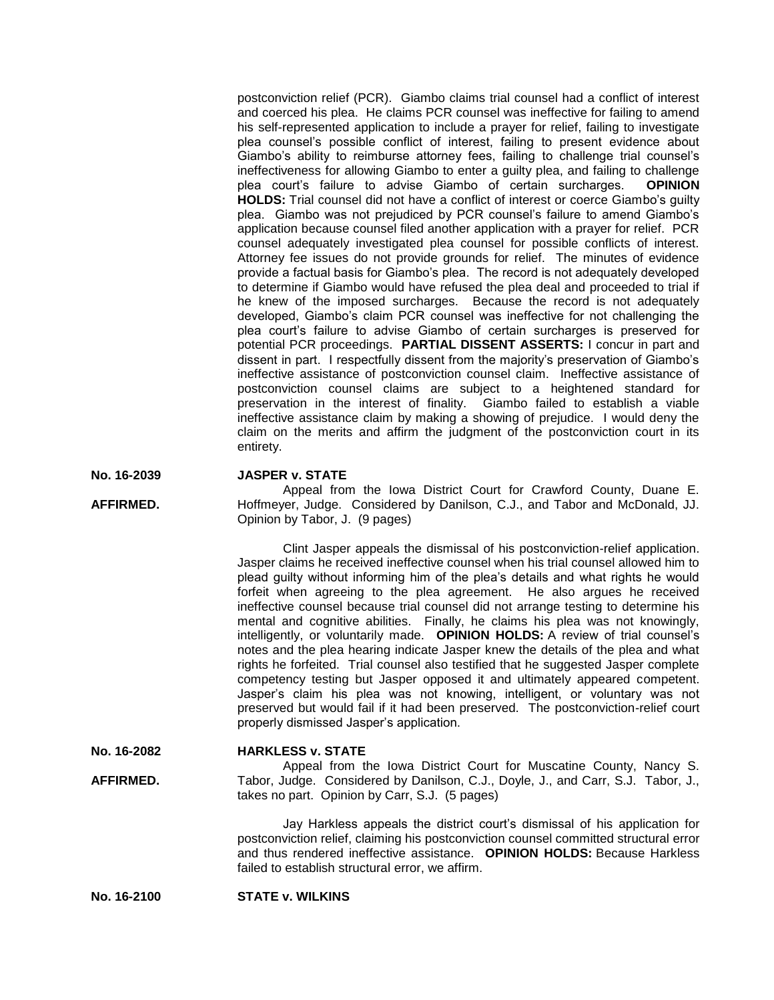postconviction relief (PCR). Giambo claims trial counsel had a conflict of interest and coerced his plea. He claims PCR counsel was ineffective for failing to amend his self-represented application to include a prayer for relief, failing to investigate plea counsel's possible conflict of interest, failing to present evidence about Giambo's ability to reimburse attorney fees, failing to challenge trial counsel's ineffectiveness for allowing Giambo to enter a guilty plea, and failing to challenge plea court's failure to advise Giambo of certain surcharges. **OPINION HOLDS:** Trial counsel did not have a conflict of interest or coerce Giambo's guilty plea. Giambo was not prejudiced by PCR counsel's failure to amend Giambo's application because counsel filed another application with a prayer for relief. PCR counsel adequately investigated plea counsel for possible conflicts of interest. Attorney fee issues do not provide grounds for relief. The minutes of evidence provide a factual basis for Giambo's plea. The record is not adequately developed to determine if Giambo would have refused the plea deal and proceeded to trial if he knew of the imposed surcharges. Because the record is not adequately developed, Giambo's claim PCR counsel was ineffective for not challenging the plea court's failure to advise Giambo of certain surcharges is preserved for potential PCR proceedings. **PARTIAL DISSENT ASSERTS:** I concur in part and dissent in part. I respectfully dissent from the majority's preservation of Giambo's ineffective assistance of postconviction counsel claim. Ineffective assistance of postconviction counsel claims are subject to a heightened standard for preservation in the interest of finality. Giambo failed to establish a viable ineffective assistance claim by making a showing of prejudice. I would deny the claim on the merits and affirm the judgment of the postconviction court in its entirety.

#### **No. 16-2039 JASPER v. STATE**

**AFFIRMED.** Appeal from the Iowa District Court for Crawford County, Duane E. Hoffmeyer, Judge. Considered by Danilson, C.J., and Tabor and McDonald, JJ. Opinion by Tabor, J. (9 pages)

> Clint Jasper appeals the dismissal of his postconviction-relief application. Jasper claims he received ineffective counsel when his trial counsel allowed him to plead guilty without informing him of the plea's details and what rights he would forfeit when agreeing to the plea agreement. He also argues he received ineffective counsel because trial counsel did not arrange testing to determine his mental and cognitive abilities. Finally, he claims his plea was not knowingly, intelligently, or voluntarily made. **OPINION HOLDS:** A review of trial counsel's notes and the plea hearing indicate Jasper knew the details of the plea and what rights he forfeited. Trial counsel also testified that he suggested Jasper complete competency testing but Jasper opposed it and ultimately appeared competent. Jasper's claim his plea was not knowing, intelligent, or voluntary was not preserved but would fail if it had been preserved. The postconviction-relief court properly dismissed Jasper's application.

**No. 16-2082 HARKLESS v. STATE**

**AFFIRMED.** Appeal from the Iowa District Court for Muscatine County, Nancy S. Tabor, Judge. Considered by Danilson, C.J., Doyle, J., and Carr, S.J. Tabor, J., takes no part. Opinion by Carr, S.J. (5 pages)

> Jay Harkless appeals the district court's dismissal of his application for postconviction relief, claiming his postconviction counsel committed structural error and thus rendered ineffective assistance. **OPINION HOLDS:** Because Harkless failed to establish structural error, we affirm.

**No. 16-2100 STATE v. WILKINS**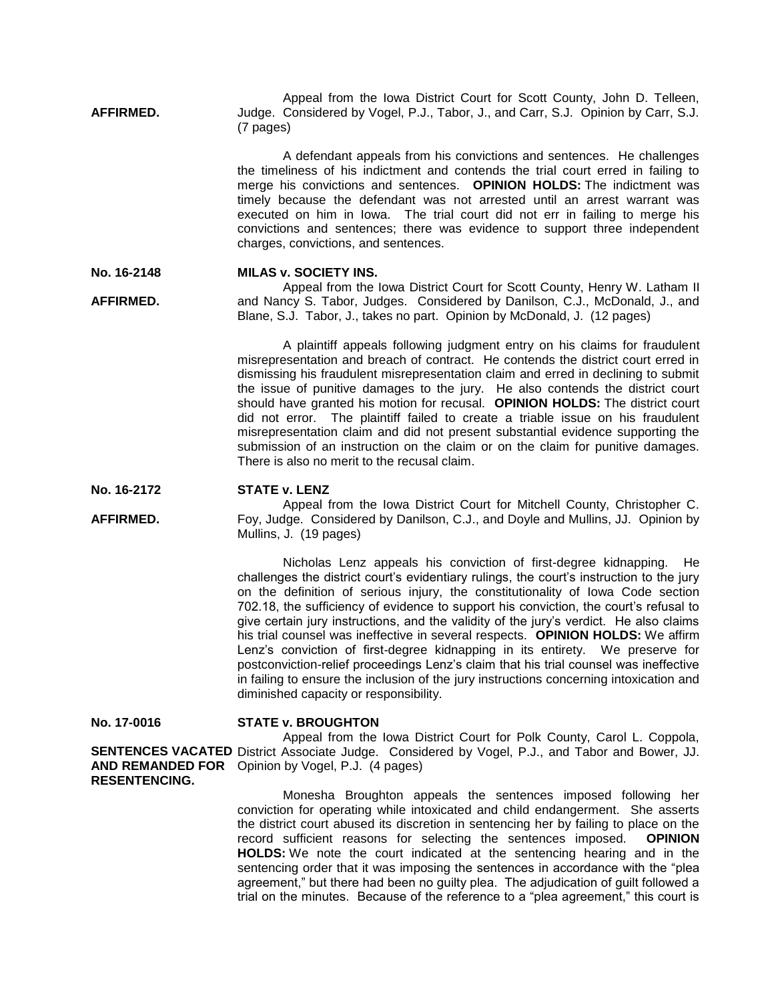**AFFIRMED.** Appeal from the Iowa District Court for Scott County, John D. Telleen, Judge. Considered by Vogel, P.J., Tabor, J., and Carr, S.J. Opinion by Carr, S.J. (7 pages)

> A defendant appeals from his convictions and sentences. He challenges the timeliness of his indictment and contends the trial court erred in failing to merge his convictions and sentences. **OPINION HOLDS:** The indictment was timely because the defendant was not arrested until an arrest warrant was executed on him in Iowa. The trial court did not err in failing to merge his convictions and sentences; there was evidence to support three independent charges, convictions, and sentences.

#### **No. 16-2148 MILAS v. SOCIETY INS.**

**AFFIRMED.** Appeal from the Iowa District Court for Scott County, Henry W. Latham II and Nancy S. Tabor, Judges. Considered by Danilson, C.J., McDonald, J., and Blane, S.J. Tabor, J., takes no part. Opinion by McDonald, J. (12 pages)

> A plaintiff appeals following judgment entry on his claims for fraudulent misrepresentation and breach of contract. He contends the district court erred in dismissing his fraudulent misrepresentation claim and erred in declining to submit the issue of punitive damages to the jury. He also contends the district court should have granted his motion for recusal. **OPINION HOLDS:** The district court did not error. The plaintiff failed to create a triable issue on his fraudulent misrepresentation claim and did not present substantial evidence supporting the submission of an instruction on the claim or on the claim for punitive damages. There is also no merit to the recusal claim.

#### **No. 16-2172 STATE v. LENZ**

**AFFIRMED.** Appeal from the Iowa District Court for Mitchell County, Christopher C. Foy, Judge. Considered by Danilson, C.J., and Doyle and Mullins, JJ. Opinion by Mullins, J. (19 pages)

> Nicholas Lenz appeals his conviction of first-degree kidnapping. He challenges the district court's evidentiary rulings, the court's instruction to the jury on the definition of serious injury, the constitutionality of Iowa Code section 702.18, the sufficiency of evidence to support his conviction, the court's refusal to give certain jury instructions, and the validity of the jury's verdict. He also claims his trial counsel was ineffective in several respects. **OPINION HOLDS:** We affirm Lenz's conviction of first-degree kidnapping in its entirety. We preserve for postconviction-relief proceedings Lenz's claim that his trial counsel was ineffective in failing to ensure the inclusion of the jury instructions concerning intoxication and diminished capacity or responsibility.

**No. 17-0016**

## **STATE v. BROUGHTON**

**SENTENCES VACATED** District Associate Judge. Considered by Vogel, P.J., and Tabor and Bower, JJ. **AND REMANDED FOR**  Opinion by Vogel, P.J. (4 pages) **RESENTENCING.** Appeal from the Iowa District Court for Polk County, Carol L. Coppola,

> Monesha Broughton appeals the sentences imposed following her conviction for operating while intoxicated and child endangerment. She asserts the district court abused its discretion in sentencing her by failing to place on the record sufficient reasons for selecting the sentences imposed. **OPINION HOLDS:** We note the court indicated at the sentencing hearing and in the sentencing order that it was imposing the sentences in accordance with the "plea agreement," but there had been no guilty plea. The adjudication of guilt followed a trial on the minutes. Because of the reference to a "plea agreement," this court is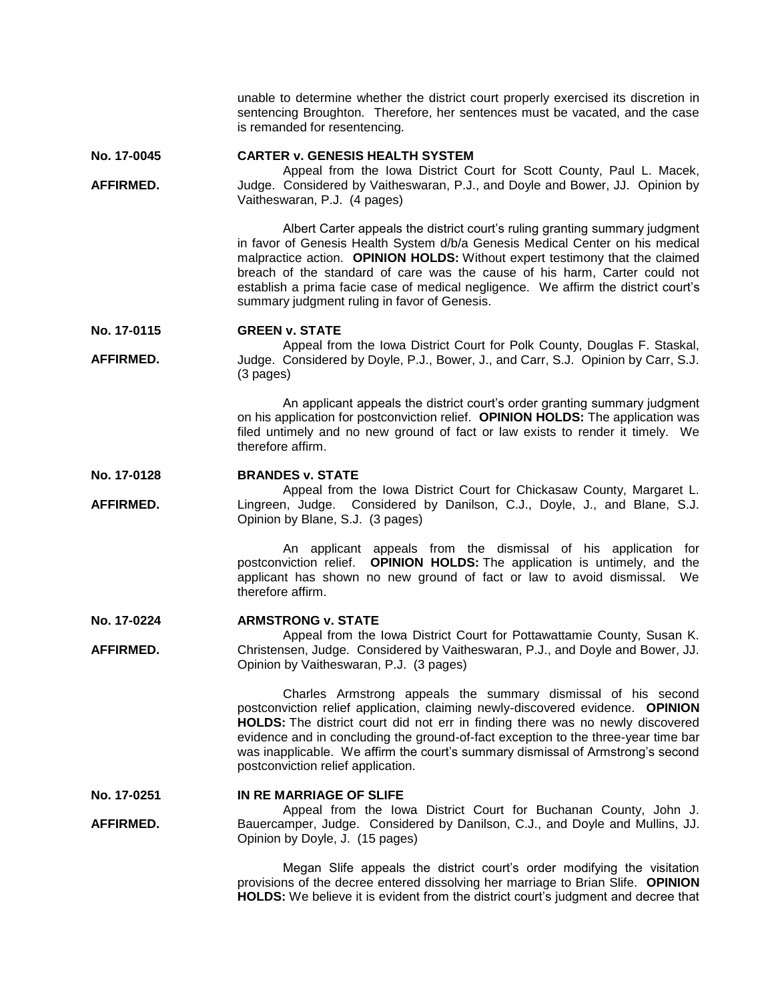unable to determine whether the district court properly exercised its discretion in sentencing Broughton. Therefore, her sentences must be vacated, and the case is remanded for resentencing.

**No. 17-0045 CARTER v. GENESIS HEALTH SYSTEM**

**AFFIRMED.** Appeal from the Iowa District Court for Scott County, Paul L. Macek, Judge. Considered by Vaitheswaran, P.J., and Doyle and Bower, JJ. Opinion by Vaitheswaran, P.J. (4 pages)

> Albert Carter appeals the district court's ruling granting summary judgment in favor of Genesis Health System d/b/a Genesis Medical Center on his medical malpractice action. **OPINION HOLDS:** Without expert testimony that the claimed breach of the standard of care was the cause of his harm, Carter could not establish a prima facie case of medical negligence. We affirm the district court's summary judgment ruling in favor of Genesis.

**No. 17-0115 GREEN v. STATE**

**AFFIRMED.** Appeal from the Iowa District Court for Polk County, Douglas F. Staskal, Judge. Considered by Doyle, P.J., Bower, J., and Carr, S.J. Opinion by Carr, S.J. (3 pages)

> An applicant appeals the district court's order granting summary judgment on his application for postconviction relief. **OPINION HOLDS:** The application was filed untimely and no new ground of fact or law exists to render it timely. We therefore affirm.

#### **No. 17-0128 BRANDES v. STATE**

**AFFIRMED.** Appeal from the Iowa District Court for Chickasaw County, Margaret L. Lingreen, Judge. Considered by Danilson, C.J., Doyle, J., and Blane, S.J. Opinion by Blane, S.J. (3 pages)

> An applicant appeals from the dismissal of his application for postconviction relief. **OPINION HOLDS:** The application is untimely, and the applicant has shown no new ground of fact or law to avoid dismissal. We therefore affirm.

#### **No. 17-0224 ARMSTRONG v. STATE**

**AFFIRMED.** Appeal from the Iowa District Court for Pottawattamie County, Susan K. Christensen, Judge. Considered by Vaitheswaran, P.J., and Doyle and Bower, JJ. Opinion by Vaitheswaran, P.J. (3 pages)

> Charles Armstrong appeals the summary dismissal of his second postconviction relief application, claiming newly-discovered evidence. **OPINION HOLDS:** The district court did not err in finding there was no newly discovered evidence and in concluding the ground-of-fact exception to the three-year time bar was inapplicable. We affirm the court's summary dismissal of Armstrong's second postconviction relief application.

**No. 17-0251 IN RE MARRIAGE OF SLIFE**

**AFFIRMED.** Appeal from the Iowa District Court for Buchanan County, John J. Bauercamper, Judge. Considered by Danilson, C.J., and Doyle and Mullins, JJ. Opinion by Doyle, J. (15 pages)

> Megan Slife appeals the district court's order modifying the visitation provisions of the decree entered dissolving her marriage to Brian Slife. **OPINION HOLDS:** We believe it is evident from the district court's judgment and decree that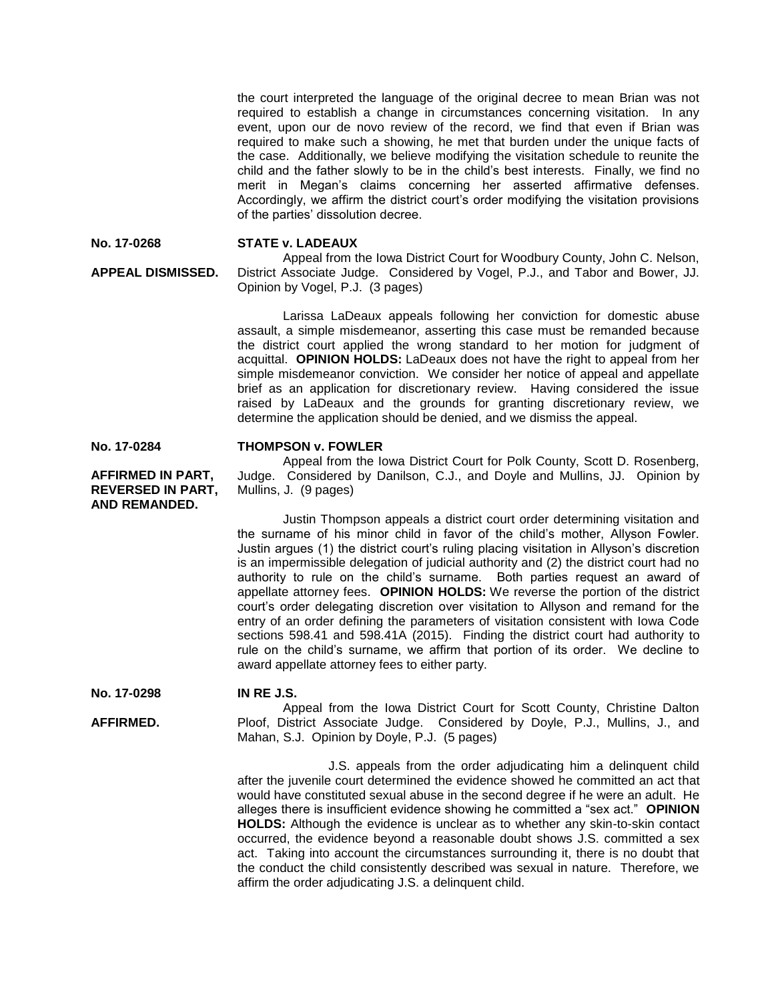the court interpreted the language of the original decree to mean Brian was not required to establish a change in circumstances concerning visitation. In any event, upon our de novo review of the record, we find that even if Brian was required to make such a showing, he met that burden under the unique facts of the case. Additionally, we believe modifying the visitation schedule to reunite the child and the father slowly to be in the child's best interests. Finally, we find no merit in Megan's claims concerning her asserted affirmative defenses. Accordingly, we affirm the district court's order modifying the visitation provisions of the parties' dissolution decree.

**No. 17-0268**

**APPEAL DISMISSED.**

**STATE v. LADEAUX**

Appeal from the Iowa District Court for Woodbury County, John C. Nelson, District Associate Judge. Considered by Vogel, P.J., and Tabor and Bower, JJ. Opinion by Vogel, P.J. (3 pages)

Larissa LaDeaux appeals following her conviction for domestic abuse assault, a simple misdemeanor, asserting this case must be remanded because the district court applied the wrong standard to her motion for judgment of acquittal. **OPINION HOLDS:** LaDeaux does not have the right to appeal from her simple misdemeanor conviction. We consider her notice of appeal and appellate brief as an application for discretionary review. Having considered the issue raised by LaDeaux and the grounds for granting discretionary review, we determine the application should be denied, and we dismiss the appeal.

**No. 17-0284**

**AFFIRMED IN PART, REVERSED IN PART, AND REMANDED.**

### **THOMPSON v. FOWLER**

Appeal from the Iowa District Court for Polk County, Scott D. Rosenberg, Judge. Considered by Danilson, C.J., and Doyle and Mullins, JJ. Opinion by Mullins, J. (9 pages)

Justin Thompson appeals a district court order determining visitation and the surname of his minor child in favor of the child's mother, Allyson Fowler. Justin argues (1) the district court's ruling placing visitation in Allyson's discretion is an impermissible delegation of judicial authority and (2) the district court had no authority to rule on the child's surname. Both parties request an award of appellate attorney fees. **OPINION HOLDS:** We reverse the portion of the district court's order delegating discretion over visitation to Allyson and remand for the entry of an order defining the parameters of visitation consistent with Iowa Code sections 598.41 and 598.41A (2015). Finding the district court had authority to rule on the child's surname, we affirm that portion of its order. We decline to award appellate attorney fees to either party.

**No. 17-0298 IN RE J.S.**

**AFFIRMED.** Appeal from the Iowa District Court for Scott County, Christine Dalton Ploof, District Associate Judge. Considered by Doyle, P.J., Mullins, J., and Mahan, S.J. Opinion by Doyle, P.J. (5 pages)

> J.S. appeals from the order adjudicating him a delinquent child after the juvenile court determined the evidence showed he committed an act that would have constituted sexual abuse in the second degree if he were an adult. He alleges there is insufficient evidence showing he committed a "sex act." **OPINION HOLDS:** Although the evidence is unclear as to whether any skin-to-skin contact occurred, the evidence beyond a reasonable doubt shows J.S. committed a sex act. Taking into account the circumstances surrounding it, there is no doubt that the conduct the child consistently described was sexual in nature. Therefore, we affirm the order adjudicating J.S. a delinquent child.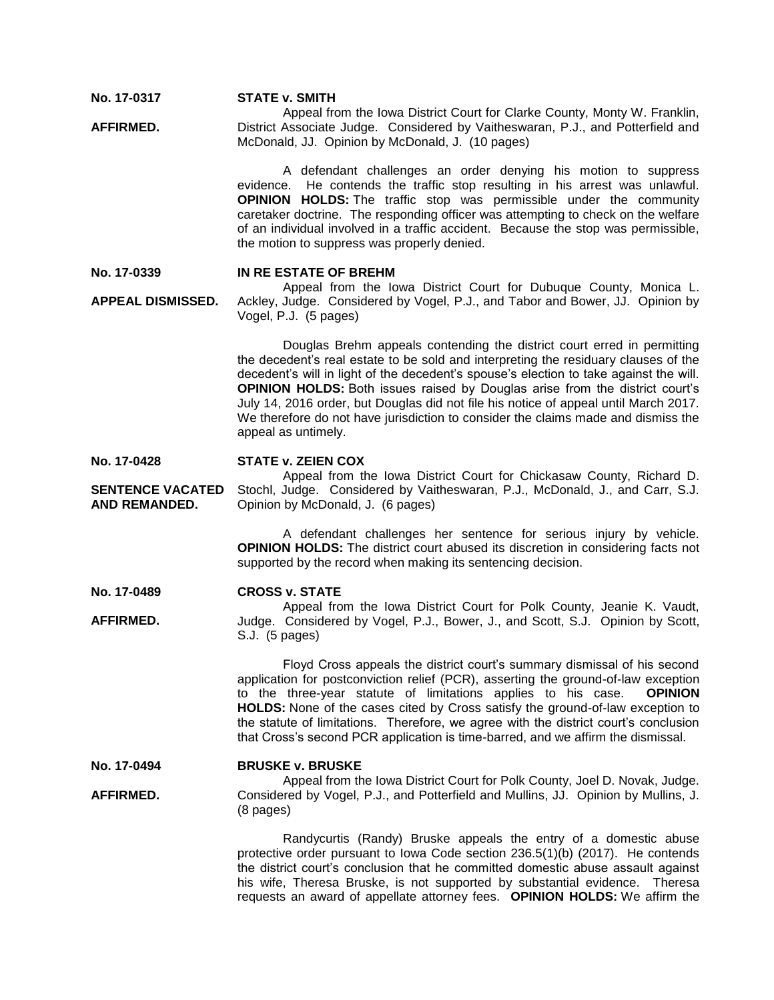**No. 17-0317 STATE v. SMITH**

**AFFIRMED.** Appeal from the Iowa District Court for Clarke County, Monty W. Franklin, District Associate Judge. Considered by Vaitheswaran, P.J., and Potterfield and McDonald, JJ. Opinion by McDonald, J. (10 pages)

> A defendant challenges an order denying his motion to suppress evidence. He contends the traffic stop resulting in his arrest was unlawful. **OPINION HOLDS:** The traffic stop was permissible under the community caretaker doctrine. The responding officer was attempting to check on the welfare of an individual involved in a traffic accident. Because the stop was permissible, the motion to suppress was properly denied.

#### **No. 17-0339 IN RE ESTATE OF BREHM**

**APPEAL DISMISSED.** Appeal from the Iowa District Court for Dubuque County, Monica L. Ackley, Judge. Considered by Vogel, P.J., and Tabor and Bower, JJ. Opinion by Vogel, P.J. (5 pages)

> Douglas Brehm appeals contending the district court erred in permitting the decedent's real estate to be sold and interpreting the residuary clauses of the decedent's will in light of the decedent's spouse's election to take against the will. **OPINION HOLDS:** Both issues raised by Douglas arise from the district court's July 14, 2016 order, but Douglas did not file his notice of appeal until March 2017. We therefore do not have jurisdiction to consider the claims made and dismiss the appeal as untimely.

#### **No. 17-0428 STATE v. ZEIEN COX**

**SENTENCE VACATED AND REMANDED.** Appeal from the Iowa District Court for Chickasaw County, Richard D. Stochl, Judge. Considered by Vaitheswaran, P.J., McDonald, J., and Carr, S.J. Opinion by McDonald, J. (6 pages)

> A defendant challenges her sentence for serious injury by vehicle. **OPINION HOLDS:** The district court abused its discretion in considering facts not supported by the record when making its sentencing decision.

#### **No. 17-0489 CROSS v. STATE**

**AFFIRMED.** Appeal from the Iowa District Court for Polk County, Jeanie K. Vaudt, Judge. Considered by Vogel, P.J., Bower, J., and Scott, S.J. Opinion by Scott, S.J. (5 pages)

> Floyd Cross appeals the district court's summary dismissal of his second application for postconviction relief (PCR), asserting the ground-of-law exception to the three-year statute of limitations applies to his case. **OPINION HOLDS:** None of the cases cited by Cross satisfy the ground-of-law exception to the statute of limitations. Therefore, we agree with the district court's conclusion that Cross's second PCR application is time-barred, and we affirm the dismissal.

#### **No. 17-0494 BRUSKE v. BRUSKE**

**AFFIRMED.** Appeal from the Iowa District Court for Polk County, Joel D. Novak, Judge. Considered by Vogel, P.J., and Potterfield and Mullins, JJ. Opinion by Mullins, J. (8 pages)

> Randycurtis (Randy) Bruske appeals the entry of a domestic abuse protective order pursuant to Iowa Code section 236.5(1)(b) (2017). He contends the district court's conclusion that he committed domestic abuse assault against his wife, Theresa Bruske, is not supported by substantial evidence. Theresa requests an award of appellate attorney fees. **OPINION HOLDS:** We affirm the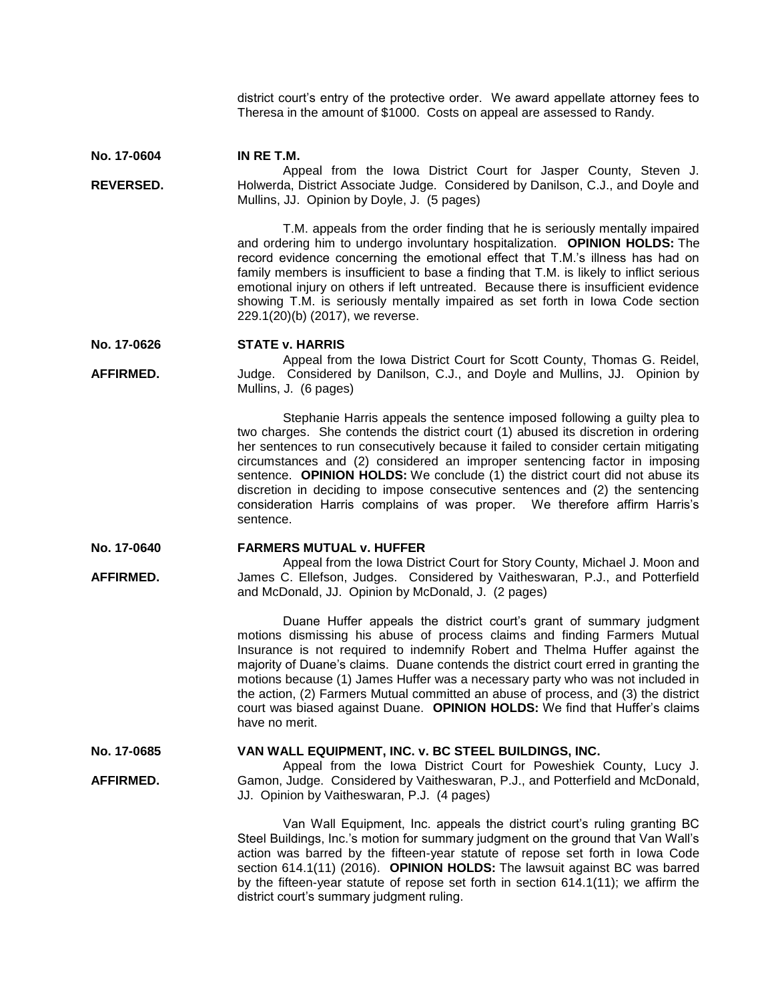district court's entry of the protective order. We award appellate attorney fees to Theresa in the amount of \$1000. Costs on appeal are assessed to Randy.

**No. 17-0604 REVERSED. IN RE T.M.** Appeal from the Iowa District Court for Jasper County, Steven J. Holwerda, District Associate Judge. Considered by Danilson, C.J., and Doyle and

Mullins, JJ. Opinion by Doyle, J. (5 pages)

T.M. appeals from the order finding that he is seriously mentally impaired and ordering him to undergo involuntary hospitalization. **OPINION HOLDS:** The record evidence concerning the emotional effect that T.M.'s illness has had on family members is insufficient to base a finding that T.M. is likely to inflict serious emotional injury on others if left untreated. Because there is insufficient evidence showing T.M. is seriously mentally impaired as set forth in Iowa Code section 229.1(20)(b) (2017), we reverse.

#### **No. 17-0626 STATE v. HARRIS**

**AFFIRMED.** Appeal from the Iowa District Court for Scott County, Thomas G. Reidel, Judge. Considered by Danilson, C.J., and Doyle and Mullins, JJ. Opinion by Mullins, J. (6 pages)

> Stephanie Harris appeals the sentence imposed following a guilty plea to two charges. She contends the district court (1) abused its discretion in ordering her sentences to run consecutively because it failed to consider certain mitigating circumstances and (2) considered an improper sentencing factor in imposing sentence. **OPINION HOLDS:** We conclude (1) the district court did not abuse its discretion in deciding to impose consecutive sentences and (2) the sentencing consideration Harris complains of was proper. We therefore affirm Harris's sentence.

#### **No. 17-0640 FARMERS MUTUAL v. HUFFER**

**AFFIRMED.** Appeal from the Iowa District Court for Story County, Michael J. Moon and James C. Ellefson, Judges. Considered by Vaitheswaran, P.J., and Potterfield and McDonald, JJ. Opinion by McDonald, J. (2 pages)

> Duane Huffer appeals the district court's grant of summary judgment motions dismissing his abuse of process claims and finding Farmers Mutual Insurance is not required to indemnify Robert and Thelma Huffer against the majority of Duane's claims. Duane contends the district court erred in granting the motions because (1) James Huffer was a necessary party who was not included in the action, (2) Farmers Mutual committed an abuse of process, and (3) the district court was biased against Duane. **OPINION HOLDS:** We find that Huffer's claims have no merit.

#### **No. 17-0685 VAN WALL EQUIPMENT, INC. v. BC STEEL BUILDINGS, INC.**

**AFFIRMED.** Appeal from the Iowa District Court for Poweshiek County, Lucy J. Gamon, Judge. Considered by Vaitheswaran, P.J., and Potterfield and McDonald, JJ. Opinion by Vaitheswaran, P.J. (4 pages)

> Van Wall Equipment, Inc. appeals the district court's ruling granting BC Steel Buildings, Inc.'s motion for summary judgment on the ground that Van Wall's action was barred by the fifteen-year statute of repose set forth in Iowa Code section 614.1(11) (2016). **OPINION HOLDS:** The lawsuit against BC was barred by the fifteen-year statute of repose set forth in section 614.1(11); we affirm the district court's summary judgment ruling.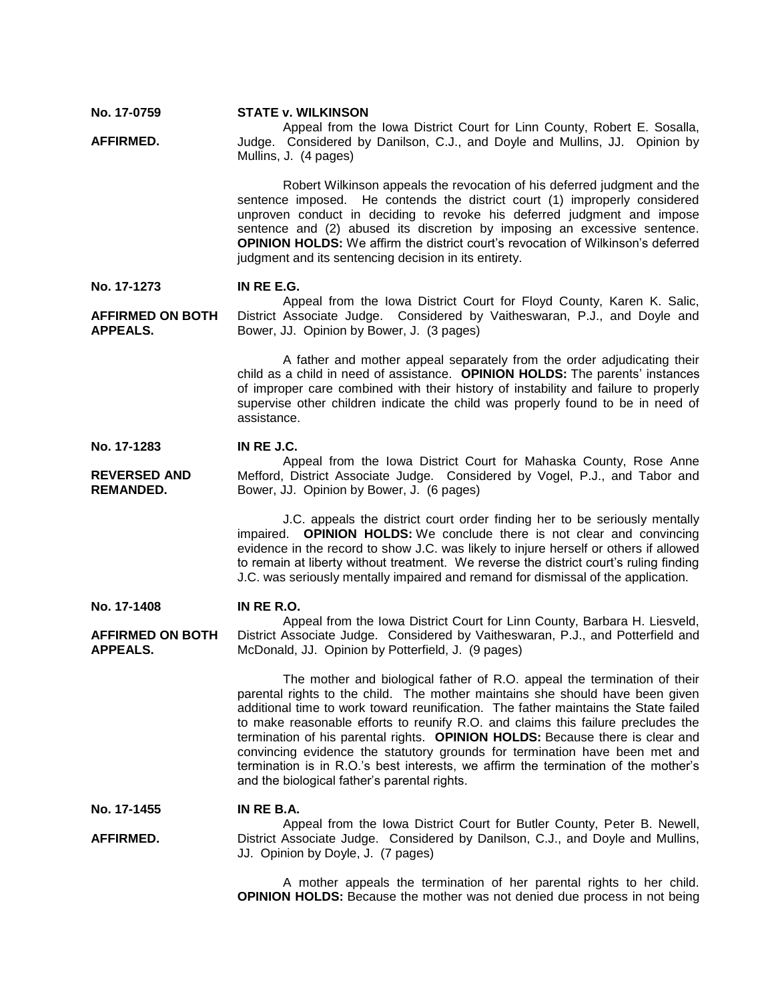**No. 17-0759 AFFIRMED. STATE v. WILKINSON** Appeal from the Iowa District Court for Linn County, Robert E. Sosalla, Judge. Considered by Danilson, C.J., and Doyle and Mullins, JJ. Opinion by Mullins, J. (4 pages) Robert Wilkinson appeals the revocation of his deferred judgment and the sentence imposed. He contends the district court (1) improperly considered unproven conduct in deciding to revoke his deferred judgment and impose sentence and (2) abused its discretion by imposing an excessive sentence. **OPINION HOLDS:** We affirm the district court's revocation of Wilkinson's deferred judgment and its sentencing decision in its entirety. **No. 17-1273 AFFIRMED ON BOTH APPEALS. IN RE E.G.** Appeal from the Iowa District Court for Floyd County, Karen K. Salic, District Associate Judge. Considered by Vaitheswaran, P.J., and Doyle and Bower, JJ. Opinion by Bower, J. (3 pages) A father and mother appeal separately from the order adjudicating their child as a child in need of assistance. **OPINION HOLDS:** The parents' instances of improper care combined with their history of instability and failure to properly supervise other children indicate the child was properly found to be in need of assistance. **No. 17-1283 REVERSED AND REMANDED. IN RE J.C.** Appeal from the Iowa District Court for Mahaska County, Rose Anne Mefford, District Associate Judge. Considered by Vogel, P.J., and Tabor and Bower, JJ. Opinion by Bower, J. (6 pages) J.C. appeals the district court order finding her to be seriously mentally impaired. **OPINION HOLDS:** We conclude there is not clear and convincing evidence in the record to show J.C. was likely to injure herself or others if allowed to remain at liberty without treatment. We reverse the district court's ruling finding J.C. was seriously mentally impaired and remand for dismissal of the application. **No. 17-1408 AFFIRMED ON BOTH APPEALS. IN RE R.O.** Appeal from the Iowa District Court for Linn County, Barbara H. Liesveld, District Associate Judge. Considered by Vaitheswaran, P.J., and Potterfield and McDonald, JJ. Opinion by Potterfield, J. (9 pages) The mother and biological father of R.O. appeal the termination of their parental rights to the child. The mother maintains she should have been given additional time to work toward reunification. The father maintains the State failed to make reasonable efforts to reunify R.O. and claims this failure precludes the termination of his parental rights. **OPINION HOLDS:** Because there is clear and convincing evidence the statutory grounds for termination have been met and termination is in R.O.'s best interests, we affirm the termination of the mother's and the biological father's parental rights. **No. 17-1455 AFFIRMED. IN RE B.A.** Appeal from the Iowa District Court for Butler County, Peter B. Newell, District Associate Judge. Considered by Danilson, C.J., and Doyle and Mullins, JJ. Opinion by Doyle, J. (7 pages)

A mother appeals the termination of her parental rights to her child. **OPINION HOLDS:** Because the mother was not denied due process in not being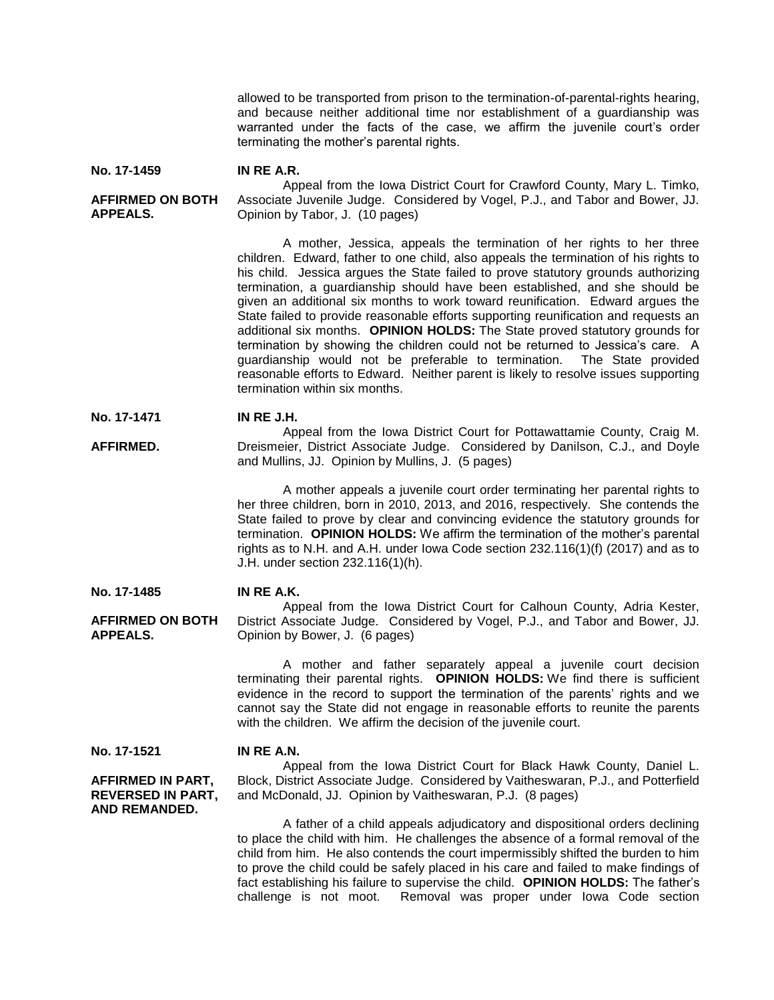allowed to be transported from prison to the termination-of-parental-rights hearing, and because neither additional time nor establishment of a guardianship was warranted under the facts of the case, we affirm the juvenile court's order terminating the mother's parental rights.

**No. 17-1459 IN RE A.R.**

# **AFFIRMED ON BOTH APPEALS.**

Appeal from the Iowa District Court for Crawford County, Mary L. Timko, Associate Juvenile Judge. Considered by Vogel, P.J., and Tabor and Bower, JJ. Opinion by Tabor, J. (10 pages)

A mother, Jessica, appeals the termination of her rights to her three children. Edward, father to one child, also appeals the termination of his rights to his child. Jessica argues the State failed to prove statutory grounds authorizing termination, a guardianship should have been established, and she should be given an additional six months to work toward reunification. Edward argues the State failed to provide reasonable efforts supporting reunification and requests an additional six months. **OPINION HOLDS:** The State proved statutory grounds for termination by showing the children could not be returned to Jessica's care. A guardianship would not be preferable to termination. The State provided reasonable efforts to Edward. Neither parent is likely to resolve issues supporting termination within six months.

**No. 17-1471 IN RE J.H.**

**AFFIRMED.** Appeal from the Iowa District Court for Pottawattamie County, Craig M. Dreismeier, District Associate Judge. Considered by Danilson, C.J., and Doyle and Mullins, JJ. Opinion by Mullins, J. (5 pages)

> A mother appeals a juvenile court order terminating her parental rights to her three children, born in 2010, 2013, and 2016, respectively. She contends the State failed to prove by clear and convincing evidence the statutory grounds for termination. **OPINION HOLDS:** We affirm the termination of the mother's parental rights as to N.H. and A.H. under Iowa Code section 232.116(1)(f) (2017) and as to J.H. under section 232.116(1)(h).

#### **No. 17-1485 IN RE A.K.**

**AFFIRMED ON BOTH APPEALS.** Appeal from the Iowa District Court for Calhoun County, Adria Kester, District Associate Judge. Considered by Vogel, P.J., and Tabor and Bower, JJ. Opinion by Bower, J. (6 pages)

> A mother and father separately appeal a juvenile court decision terminating their parental rights. **OPINION HOLDS:** We find there is sufficient evidence in the record to support the termination of the parents' rights and we cannot say the State did not engage in reasonable efforts to reunite the parents with the children. We affirm the decision of the juvenile court.

**No. 17-1521**

**AND REMANDED.**

**AFFIRMED IN PART, REVERSED IN PART,** 

**IN RE A.N.**

Appeal from the Iowa District Court for Black Hawk County, Daniel L. Block, District Associate Judge. Considered by Vaitheswaran, P.J., and Potterfield and McDonald, JJ. Opinion by Vaitheswaran, P.J. (8 pages)

A father of a child appeals adjudicatory and dispositional orders declining to place the child with him. He challenges the absence of a formal removal of the child from him. He also contends the court impermissibly shifted the burden to him to prove the child could be safely placed in his care and failed to make findings of fact establishing his failure to supervise the child. **OPINION HOLDS:** The father's challenge is not moot. Removal was proper under Iowa Code section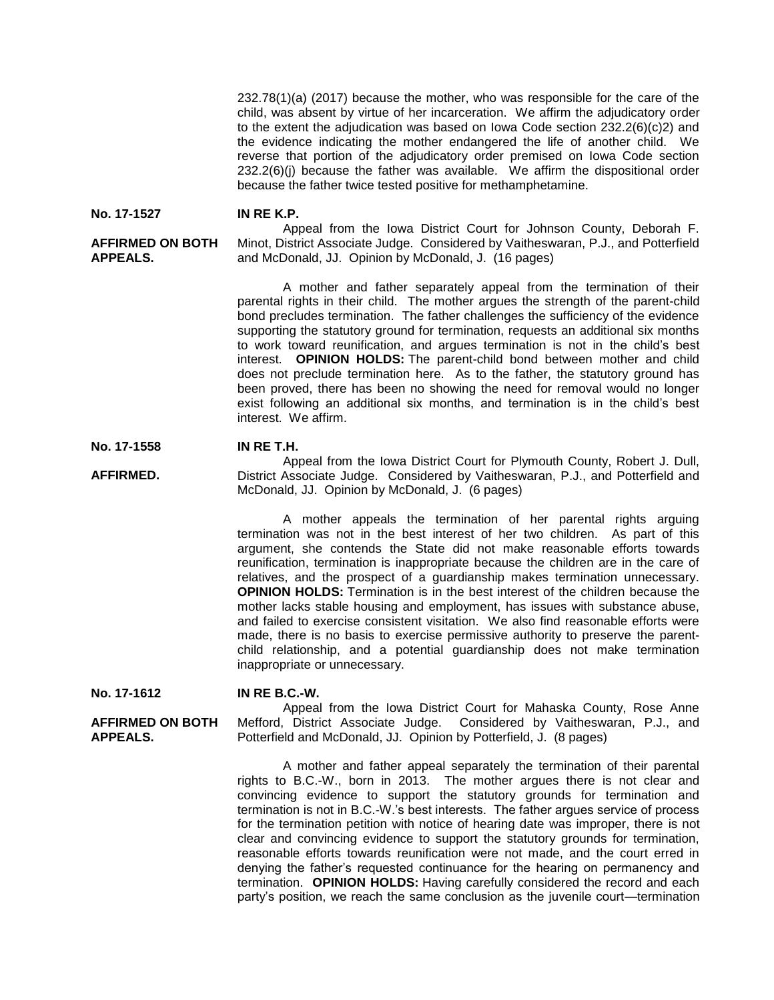232.78(1)(a) (2017) because the mother, who was responsible for the care of the child, was absent by virtue of her incarceration. We affirm the adjudicatory order to the extent the adjudication was based on Iowa Code section 232.2(6)(c)2) and the evidence indicating the mother endangered the life of another child. We reverse that portion of the adjudicatory order premised on Iowa Code section  $232.2(6)$ (i) because the father was available. We affirm the dispositional order because the father twice tested positive for methamphetamine.

#### **No. 17-1527 IN RE K.P.**

### **AFFIRMED ON BOTH APPEALS.**

Appeal from the Iowa District Court for Johnson County, Deborah F. Minot, District Associate Judge. Considered by Vaitheswaran, P.J., and Potterfield and McDonald, JJ. Opinion by McDonald, J. (16 pages)

A mother and father separately appeal from the termination of their parental rights in their child. The mother argues the strength of the parent-child bond precludes termination. The father challenges the sufficiency of the evidence supporting the statutory ground for termination, requests an additional six months to work toward reunification, and argues termination is not in the child's best interest. **OPINION HOLDS:** The parent-child bond between mother and child does not preclude termination here. As to the father, the statutory ground has been proved, there has been no showing the need for removal would no longer exist following an additional six months, and termination is in the child's best interest. We affirm.

#### **No. 17-1558 IN RE T.H.**

**AFFIRMED.** Appeal from the Iowa District Court for Plymouth County, Robert J. Dull, District Associate Judge. Considered by Vaitheswaran, P.J., and Potterfield and McDonald, JJ. Opinion by McDonald, J. (6 pages)

> A mother appeals the termination of her parental rights arguing termination was not in the best interest of her two children. As part of this argument, she contends the State did not make reasonable efforts towards reunification, termination is inappropriate because the children are in the care of relatives, and the prospect of a guardianship makes termination unnecessary. **OPINION HOLDS:** Termination is in the best interest of the children because the mother lacks stable housing and employment, has issues with substance abuse, and failed to exercise consistent visitation. We also find reasonable efforts were made, there is no basis to exercise permissive authority to preserve the parentchild relationship, and a potential guardianship does not make termination inappropriate or unnecessary.

**No. 17-1612**

**APPEALS.**

**AFFIRMED ON BOTH** 

### **IN RE B.C.-W.**

Appeal from the Iowa District Court for Mahaska County, Rose Anne Mefford, District Associate Judge. Considered by Vaitheswaran, P.J., and Potterfield and McDonald, JJ. Opinion by Potterfield, J. (8 pages)

A mother and father appeal separately the termination of their parental rights to B.C.-W., born in 2013. The mother argues there is not clear and convincing evidence to support the statutory grounds for termination and termination is not in B.C.-W.'s best interests. The father argues service of process for the termination petition with notice of hearing date was improper, there is not clear and convincing evidence to support the statutory grounds for termination, reasonable efforts towards reunification were not made, and the court erred in denying the father's requested continuance for the hearing on permanency and termination. **OPINION HOLDS:** Having carefully considered the record and each party's position, we reach the same conclusion as the juvenile court—termination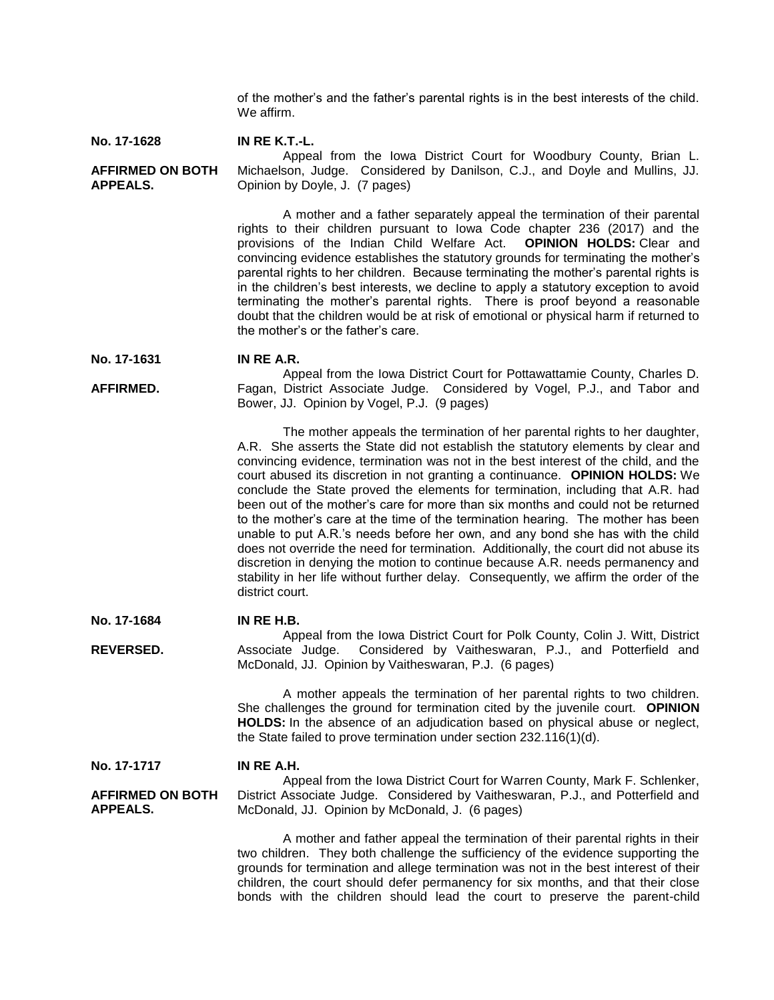of the mother's and the father's parental rights is in the best interests of the child. We affirm.

#### **No. 17-1628 IN RE K.T.-L.**

**AFFIRMED ON BOTH APPEALS.** Appeal from the Iowa District Court for Woodbury County, Brian L. Michaelson, Judge. Considered by Danilson, C.J., and Doyle and Mullins, JJ. Opinion by Doyle, J. (7 pages)

> A mother and a father separately appeal the termination of their parental rights to their children pursuant to Iowa Code chapter 236 (2017) and the provisions of the Indian Child Welfare Act. **OPINION HOLDS:** Clear and provisions of the Indian Child Welfare Act. convincing evidence establishes the statutory grounds for terminating the mother's parental rights to her children. Because terminating the mother's parental rights is in the children's best interests, we decline to apply a statutory exception to avoid terminating the mother's parental rights. There is proof beyond a reasonable doubt that the children would be at risk of emotional or physical harm if returned to the mother's or the father's care.

#### **No. 17-1631 IN RE A.R.**

**AFFIRMED.** Appeal from the Iowa District Court for Pottawattamie County, Charles D. Fagan, District Associate Judge. Considered by Vogel, P.J., and Tabor and Bower, JJ. Opinion by Vogel, P.J. (9 pages)

> The mother appeals the termination of her parental rights to her daughter, A.R. She asserts the State did not establish the statutory elements by clear and convincing evidence, termination was not in the best interest of the child, and the court abused its discretion in not granting a continuance. **OPINION HOLDS:** We conclude the State proved the elements for termination, including that A.R. had been out of the mother's care for more than six months and could not be returned to the mother's care at the time of the termination hearing. The mother has been unable to put A.R.'s needs before her own, and any bond she has with the child does not override the need for termination. Additionally, the court did not abuse its discretion in denying the motion to continue because A.R. needs permanency and stability in her life without further delay. Consequently, we affirm the order of the district court.

#### **No. 17-1684 IN RE H.B.**

**REVERSED.** Appeal from the Iowa District Court for Polk County, Colin J. Witt, District Associate Judge. Considered by Vaitheswaran, P.J., and Potterfield and McDonald, JJ. Opinion by Vaitheswaran, P.J. (6 pages)

> A mother appeals the termination of her parental rights to two children. She challenges the ground for termination cited by the juvenile court. **OPINION HOLDS:** In the absence of an adjudication based on physical abuse or neglect, the State failed to prove termination under section 232.116(1)(d).

**No. 17-1717 IN RE A.H.**

**AFFIRMED ON BOTH APPEALS.** Appeal from the Iowa District Court for Warren County, Mark F. Schlenker, District Associate Judge. Considered by Vaitheswaran, P.J., and Potterfield and McDonald, JJ. Opinion by McDonald, J. (6 pages)

> A mother and father appeal the termination of their parental rights in their two children. They both challenge the sufficiency of the evidence supporting the grounds for termination and allege termination was not in the best interest of their children, the court should defer permanency for six months, and that their close bonds with the children should lead the court to preserve the parent-child